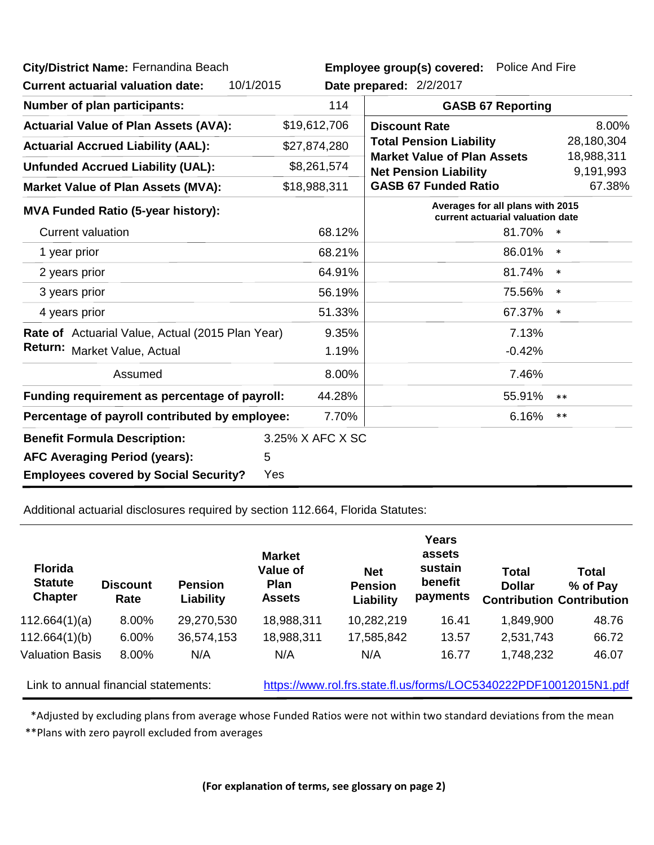| City/District Name: Fernandina Beach<br>10/1/2015<br><b>Current actuarial valuation date:</b> |                                                                      | Employee group(s) covered: Police And Fire<br>Date prepared: 2/2/2017                             |                          |                         |  |  |
|-----------------------------------------------------------------------------------------------|----------------------------------------------------------------------|---------------------------------------------------------------------------------------------------|--------------------------|-------------------------|--|--|
| <b>Number of plan participants:</b>                                                           | 114                                                                  |                                                                                                   | <b>GASB 67 Reporting</b> |                         |  |  |
| <b>Actuarial Value of Plan Assets (AVA):</b>                                                  | \$19,612,706                                                         | <b>Discount Rate</b>                                                                              |                          | 8.00%                   |  |  |
| <b>Actuarial Accrued Liability (AAL):</b>                                                     | \$27,874,280                                                         | <b>Total Pension Liability</b>                                                                    |                          | 28,180,304              |  |  |
| <b>Unfunded Accrued Liability (UAL):</b>                                                      | \$8,261,574                                                          | <b>Market Value of Plan Assets</b><br><b>Net Pension Liability</b><br><b>GASB 67 Funded Ratio</b> |                          | 18,988,311<br>9,191,993 |  |  |
| <b>Market Value of Plan Assets (MVA):</b>                                                     | \$18,988,311                                                         |                                                                                                   |                          | 67.38%                  |  |  |
| <b>MVA Funded Ratio (5-year history):</b>                                                     | Averages for all plans with 2015<br>current actuarial valuation date |                                                                                                   |                          |                         |  |  |
| <b>Current valuation</b>                                                                      | 68.12%                                                               |                                                                                                   | 81.70%                   | $\ast$                  |  |  |
| 1 year prior                                                                                  | 68.21%                                                               |                                                                                                   | 86.01%                   | $\ast$                  |  |  |
| 2 years prior                                                                                 | 64.91%                                                               |                                                                                                   | 81.74%                   | $\ast$                  |  |  |
| 3 years prior                                                                                 | 56.19%                                                               |                                                                                                   | 75.56%                   | $\ast$                  |  |  |
| 4 years prior                                                                                 | 51.33%                                                               |                                                                                                   | 67.37%                   | $\ast$                  |  |  |
| Rate of Actuarial Value, Actual (2015 Plan Year)                                              | 9.35%                                                                |                                                                                                   | 7.13%                    |                         |  |  |
| Return: Market Value, Actual                                                                  | 1.19%                                                                |                                                                                                   | $-0.42%$                 |                         |  |  |
| Assumed                                                                                       | 8.00%                                                                |                                                                                                   | 7.46%                    |                         |  |  |
| 44.28%<br>Funding requirement as percentage of payroll:                                       |                                                                      |                                                                                                   | 55.91%                   | $**$                    |  |  |
| 7.70%<br>Percentage of payroll contributed by employee:                                       |                                                                      |                                                                                                   | 6.16%                    | $***$                   |  |  |
| <b>Benefit Formula Description:</b>                                                           | 3.25% X AFC X SC                                                     |                                                                                                   |                          |                         |  |  |
| 5<br><b>AFC Averaging Period (years):</b>                                                     |                                                                      |                                                                                                   |                          |                         |  |  |
| <b>Employees covered by Social Security?</b>                                                  | Yes                                                                  |                                                                                                   |                          |                         |  |  |

Additional actuarial disclosures required by section 112.664, Florida Statutes:

| <b>Florida</b><br><b>Statute</b><br><b>Chapter</b> | <b>Discount</b><br>Rate | <b>Pension</b><br>Liability | <b>Market</b><br>Value of<br><b>Plan</b><br><b>Assets</b> | <b>Net</b><br><b>Pension</b><br>Liability | Years<br>assets<br>sustain<br>benefit<br>payments | <b>Total</b><br><b>Dollar</b>                                     | Total<br>% of Pay<br><b>Contribution Contribution</b> |
|----------------------------------------------------|-------------------------|-----------------------------|-----------------------------------------------------------|-------------------------------------------|---------------------------------------------------|-------------------------------------------------------------------|-------------------------------------------------------|
| 112.664(1)(a)                                      | 8.00%                   | 29,270,530                  | 18,988,311                                                | 10,282,219                                | 16.41                                             | 1,849,900                                                         | 48.76                                                 |
| 112.664(1)(b)                                      | 6.00%                   | 36,574,153                  | 18,988,311                                                | 17,585,842                                | 13.57                                             | 2,531,743                                                         | 66.72                                                 |
| <b>Valuation Basis</b>                             | 8.00%                   | N/A                         | N/A                                                       | N/A                                       | 16.77                                             | 1,748,232                                                         | 46.07                                                 |
| Link to annual financial statements:               |                         |                             |                                                           |                                           |                                                   | https://www.rol.frs.state.fl.us/forms/LOC5340222PDF10012015N1.pdf |                                                       |

\*Adjusted by excluding plans from average whose Funded Ratios were not within two standard deviations from the mean

\*\*Plans with zero payroll excluded from averages